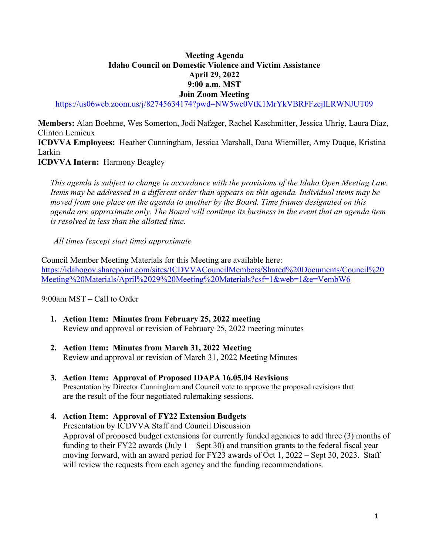### **Meeting Agenda Idaho Council on Domestic Violence and Victim Assistance April 29, 2022 9:00 a.m. MST Join Zoom Meeting**

<https://us06web.zoom.us/j/82745634174?pwd=NW5wc0VtK1MrYkVBRFFzejlLRWNJUT09>

**Members:** Alan Boehme, Wes Somerton, Jodi Nafzger, Rachel Kaschmitter, Jessica Uhrig, Laura Diaz, Clinton Lemieux **ICDVVA Employees:** Heather Cunningham, Jessica Marshall, Dana Wiemiller, Amy Duque, Kristina Larkin

**ICDVVA Intern:** Harmony Beagley

 *This agenda is subject to change in accordance with the provisions of the Idaho Open Meeting Law. Items may be addressed in a different order than appears on this agenda. Individual items may be moved from one place on the agenda to another by the Board. Time frames designated on this agenda are approximate only. The Board will continue its business in the event that an agenda item is resolved in less than the allotted time.* 

*All times (except start time) approximate* 

Council Member Meeting Materials for this Meeting are available here: [https://idahogov.sharepoint.com/sites/ICDVVACouncilMembers/Shared%20Documents/Council%20](https://idahogov.sharepoint.com/sites/ICDVVACouncilMembers/Shared%20Documents/Council%20Meeting%20Materials/April%2029%20Meeting%20Materials?csf=1&web=1&e=VembW6) [Meeting%20Materials/April%2029%20Meeting%20Materials?csf=1&web=1&e=VembW6](https://idahogov.sharepoint.com/sites/ICDVVACouncilMembers/Shared%20Documents/Council%20Meeting%20Materials/April%2029%20Meeting%20Materials?csf=1&web=1&e=VembW6)

9:00am MST – Call to Order

- **1. Action Item: Minutes from February 25, 2022 meeting**  Review and approval or revision of February 25, 2022 meeting minutes
- **2. Action Item: Minutes from March 31, 2022 Meeting**  Review and approval or revision of March 31, 2022 Meeting Minutes
- **3. Action Item: Approval of Proposed IDAPA 16.05.04 Revisions**  Presentation by Director Cunningham and Council vote to approve the proposed revisions that are the result of the four negotiated rulemaking sessions.

### **4. Action Item: Approval of FY22 Extension Budgets**

Presentation by ICDVVA Staff and Council Discussion Approval of proposed budget extensions for currently funded agencies to add three (3) months of funding to their FY22 awards (July  $1 -$  Sept 30) and transition grants to the federal fiscal year moving forward, with an award period for FY23 awards of Oct 1, 2022 – Sept 30, 2023. Staff will review the requests from each agency and the funding recommendations.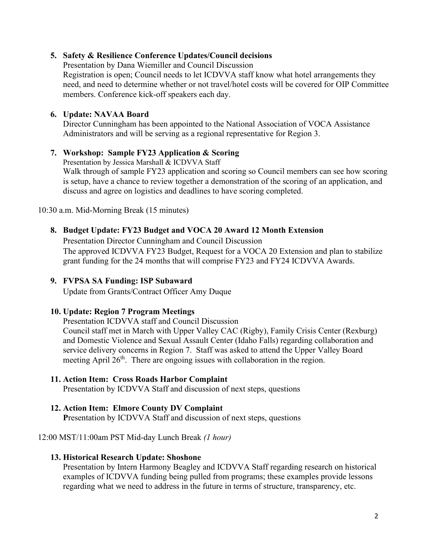## **5. Safety & Resilience Conference Updates/Council decisions**

Presentation by Dana Wiemiller and Council Discussion Registration is open; Council needs to let ICDVVA staff know what hotel arrangements they need, and need to determine whether or not travel/hotel costs will be covered for OIP Committee members. Conference kick-off speakers each day.

## **6. Update: NAVAA Board**

Director Cunningham has been appointed to the National Association of VOCA Assistance Administrators and will be serving as a regional representative for Region 3.

## **7. Workshop: Sample FY23 Application & Scoring**

Presentation by Jessica Marshall & ICDVVA Staff Walk through of sample FY23 application and scoring so Council members can see how scoring is setup, have a chance to review together a demonstration of the scoring of an application, and discuss and agree on logistics and deadlines to have scoring completed.

10:30 a.m. Mid-Morning Break (15 minutes)

# **8. Budget Update: FY23 Budget and VOCA 20 Award 12 Month Extension**

Presentation Director Cunningham and Council Discussion The approved ICDVVA FY23 Budget, Request for a VOCA 20 Extension and plan to stabilize grant funding for the 24 months that will comprise FY23 and FY24 ICDVVA Awards.

## **9. FVPSA SA Funding: ISP Subaward**

Update from Grants/Contract Officer Amy Duque

### **10. Update: Region 7 Program Meetings**

Presentation ICDVVA staff and Council Discussion

Council staff met in March with Upper Valley CAC (Rigby), Family Crisis Center (Rexburg) and Domestic Violence and Sexual Assault Center (Idaho Falls) regarding collaboration and service delivery concerns in Region 7. Staff was asked to attend the Upper Valley Board meeting April 26<sup>th</sup>. There are ongoing issues with collaboration in the region.

# **11. Action Item: Cross Roads Harbor Complaint**

Presentation by ICDVVA Staff and discussion of next steps, questions

### **12. Action Item: Elmore County DV Complaint**

**P**resentation by ICDVVA Staff and discussion of next steps, questions

### 12:00 MST/11:00am PST Mid-day Lunch Break *(1 hour)*

### **13. Historical Research Update: Shoshone**

Presentation by Intern Harmony Beagley and ICDVVA Staff regarding research on historical examples of ICDVVA funding being pulled from programs; these examples provide lessons regarding what we need to address in the future in terms of structure, transparency, etc.